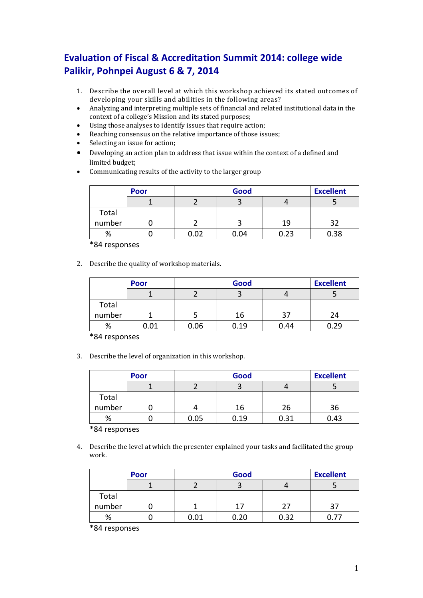## **Evaluation of Fiscal & Accreditation Summit 2014: college wide Palikir, Pohnpei August 6 & 7, 2014**

- 1. Describe the overall level at which this workshop achieved its stated outcomes of developing your skills and abilities in the following areas?
- Analyzing and interpreting multiple sets of financial and related institutional data in the context of a college's Mission and its stated purposes;
- Using those analyses to identify issues that require action;
- Reaching consensus on the relative importance of those issues;
- Selecting an issue for action;
- Developing an action plan to address that issue within the context of a defined and limited budget;
- Communicating results of the activity to the larger group

|        | Poor |      | Good |      |      |
|--------|------|------|------|------|------|
|        |      |      |      |      |      |
| Total  |      |      |      |      |      |
| number |      |      |      | 19   | 22   |
| %      |      | 0.02 | 0.04 | 0.23 | 0.38 |

\*84 responses

2. Describe the quality of workshop materials.

|        | <b>Poor</b> | Good |      |      | <b>Excellent</b> |
|--------|-------------|------|------|------|------------------|
|        |             |      |      |      |                  |
| Total  |             |      |      |      |                  |
| number |             |      | 16   | 37   | 24               |
| %      | 0.01        | 0.06 | 0.19 | 0.44 | 0.29             |

\*84 responses

3. Describe the level of organization in this workshop.

|        | <b>Poor</b> |      | Good |      |      |
|--------|-------------|------|------|------|------|
|        |             |      |      |      |      |
| Total  |             |      |      |      |      |
| number |             |      | 16   | 26   | 36   |
| %      |             | 0.05 | 0.19 | 0.31 | 0.43 |

\*84 responses

4. Describe the level at which the presenter explained your tasks and facilitated the group work.

|        | <b>Poor</b> |      | Good |      |    |
|--------|-------------|------|------|------|----|
|        |             |      |      |      |    |
| Total  |             |      |      |      |    |
| number |             |      | 17   | つつ   | 37 |
| %      |             | 0.01 | 0.20 | 0.32 |    |

\*84 responses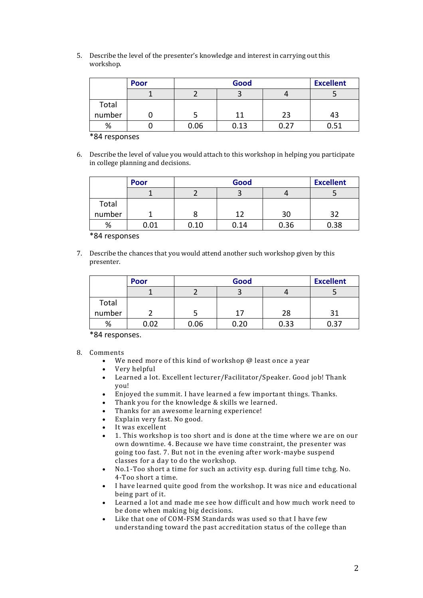|        | <b>Poor</b> |      | <b>Excellent</b><br>Good |      |      |
|--------|-------------|------|--------------------------|------|------|
|        |             |      |                          |      |      |
| Total  |             |      |                          |      |      |
| number |             |      | 11                       | 23   | 43   |
| %      |             | 0.06 | 0.13                     | በ.27 | 0.51 |

\*84 responses

6. Describe the level of value you would attach to this workshop in helping you participate in college planning and decisions.

|        | Poor |      | Good |      |      |
|--------|------|------|------|------|------|
|        |      |      |      |      |      |
| Total  |      |      |      |      |      |
| number |      |      | 12   | 30   | つつ   |
| %      | 0.01 | 0.10 | 0.14 | 0.36 | 0.38 |

\*84 responses

7. Describe the chances that you would attend another such workshop given by this presenter.

|        | <b>Poor</b> |      | <b>Excellent</b><br>Good |      |      |
|--------|-------------|------|--------------------------|------|------|
|        |             |      |                          |      |      |
| Total  |             |      |                          |      |      |
| number |             |      | 17                       | 28   | 21   |
| %      | 0.02        | 0.06 | 0.20                     | 0.33 | 0.37 |

\*84 responses.

- We need more of this kind of workshop @ least once a year
- Very helpful
- Learned a lot. Excellent lecturer/Facilitator/Speaker. Good job! Thank you!
- Enjoyed the summit. I have learned a few important things. Thanks.
- Thank you for the knowledge & skills we learned.
- Thanks for an awesome learning experience!
- Explain very fast. No good.
- It was excellent
- 1. This workshop is too short and is done at the time where we are on our own downtime. 4. Because we have time constraint, the presenter was going too fast. 7. But not in the evening after work-maybe suspend classes for a day to do the workshop.
- No.1-Too short a time for such an activity esp. during full time tchg. No. 4-Too short a time.
- I have learned quite good from the workshop. It was nice and educational being part of it.
- Learned a lot and made me see how difficult and how much work need to be done when making big decisions.
- Like that one of COM-FSM Standards was used so that I have few understanding toward the past accreditation status of the college than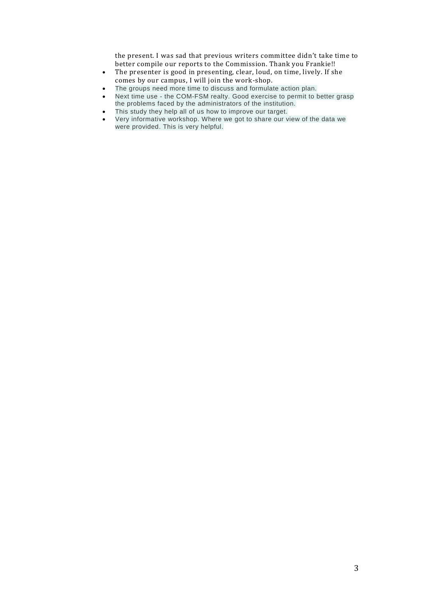the present. I was sad that previous writers committee didn't take time to better compile our reports to the Commission. Thank you Frankie!!

- The presenter is good in presenting, clear, loud, on time, lively. If she comes by our campus, I will join the work-shop.
- The groups need more time to discuss and formulate action plan.
- Next time use the COM-FSM realty. Good exercise to permit to better grasp the problems faced by the administrators of the institution.
- This study they help all of us how to improve our target.
- Very informative workshop. Where we got to share our view of the data we were provided. This is very helpful.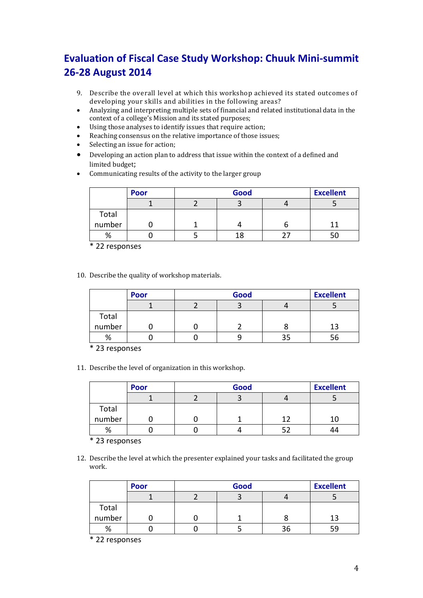# **Evaluation of Fiscal Case Study Workshop: Chuuk Mini-summit 26-28 August 2014**

- 9. Describe the overall level at which this workshop achieved its stated outcomes of developing your skills and abilities in the following areas?
- Analyzing and interpreting multiple sets of financial and related institutional data in the context of a college's Mission and its stated purposes;
- Using those analyses to identify issues that require action;
- Reaching consensus on the relative importance of those issues;
- Selecting an issue for action;
- Developing an action plan to address that issue within the context of a defined and limited budget;
- Communicating results of the activity to the larger group

|        | <b>Poor</b> | Good |  |  |
|--------|-------------|------|--|--|
|        |             |      |  |  |
| Total  |             |      |  |  |
| number |             |      |  |  |
| %      |             | 18   |  |  |

\* 22 responses

10. Describe the quality of workshop materials.

|        | <b>Poor</b> | Good |  |  | <b>Excellent</b> |
|--------|-------------|------|--|--|------------------|
|        |             |      |  |  |                  |
| Total  |             |      |  |  |                  |
| number |             |      |  |  | 1 ว              |
| %      |             |      |  |  |                  |

\* 23 responses

11. Describe the level of organization in this workshop.

|        | <b>Poor</b> | Good |  |    | <b>Excellent</b> |
|--------|-------------|------|--|----|------------------|
|        |             |      |  |    |                  |
| Total  |             |      |  |    |                  |
| number |             |      |  | 1. |                  |
| %      |             |      |  |    |                  |

\* 23 responses

12. Describe the level at which the presenter explained your tasks and facilitated the group work.

|        | <b>Poor</b> | Good |  |    | <b>Excellent</b> |
|--------|-------------|------|--|----|------------------|
|        |             |      |  |    |                  |
| Total  |             |      |  |    |                  |
| number |             |      |  |    | 13               |
| %      |             |      |  | 36 | 59               |

\* 22 responses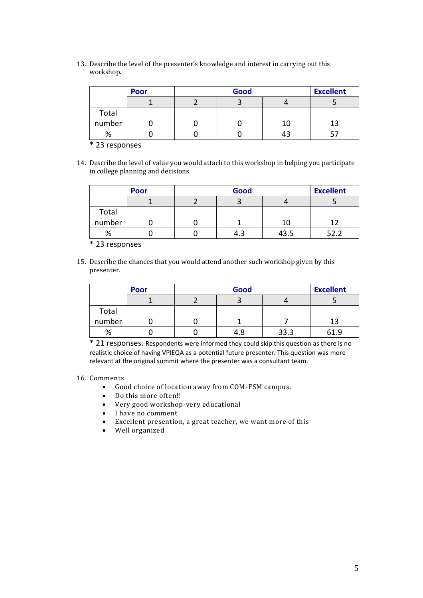|        | Poor | <b>Excellent</b><br>Good |    |     |
|--------|------|--------------------------|----|-----|
|        |      |                          |    |     |
| Total  |      |                          |    |     |
| number |      |                          | 10 | 1 ว |
| %      |      |                          |    |     |

\* 23 responses

14. Describe the level of value you would attach to this workshop in helping you participate in college planning and decisions.

|        | <b>Poor</b> | Good |      |     |  |
|--------|-------------|------|------|-----|--|
|        |             |      |      |     |  |
| Total  |             |      |      |     |  |
| number |             |      | 10   | 1 ว |  |
| %      |             |      | 43.5 |     |  |

\* 23 responses

15. Describe the chances that you would attend another such workshop given by this presenter.

|        | Good<br>Poor |  |     |      | <b>Excellent</b> |
|--------|--------------|--|-----|------|------------------|
|        |              |  |     |      |                  |
| Total  |              |  |     |      |                  |
| number |              |  |     |      | 13               |
| %      |              |  | 4.8 | 33.3 | 51 Q             |

\* 21 responses. Respondents were informed they could skip this question as there is no realistic choice of having VPIEQA as a potential future presenter. This question was more relevant at the original summit where the presenter was a consultant team.

- Good choice of location away from COM-FSM campus.
- Do this more often!!
- Very good workshop-very educational
- I have no comment
- Excellent presention, a great teacher, we want more of this
- Well organized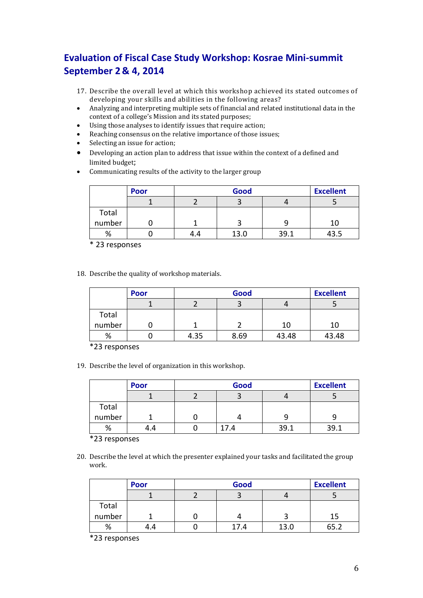### **Evaluation of Fiscal Case Study Workshop: Kosrae Mini-summit September 2& 4, 2014**

- 17. Describe the overall level at which this workshop achieved its stated outcomes of developing your skills and abilities in the following areas?
- Analyzing and interpreting multiple sets of financial and related institutional data in the context of a college's Mission and its stated purposes;
- Using those analyses to identify issues that require action;
- Reaching consensus on the relative importance of those issues;
- Selecting an issue for action;
- Developing an action plan to address that issue within the context of a defined and limited budget;
- Communicating results of the activity to the larger group

|        | <b>Poor</b> |     | Good |     |      |
|--------|-------------|-----|------|-----|------|
|        |             |     |      |     |      |
| Total  |             |     |      |     |      |
| number |             |     |      |     | 10   |
| %      |             | 4.4 | 13.0 | 391 | 43.5 |

\* 23 responses

18. Describe the quality of workshop materials.

|        | <b>Poor</b> | Good |      | <b>Excellent</b> |       |
|--------|-------------|------|------|------------------|-------|
|        |             |      |      |                  |       |
| Total  |             |      |      |                  |       |
| number |             |      |      | 10               | 10    |
| %      |             | 4.35 | 8.69 | 43.48            | 43.48 |

\*23 responses

19. Describe the level of organization in this workshop.

|        | Poor | Good |      |      | <b>Excellent</b> |
|--------|------|------|------|------|------------------|
|        |      |      |      |      |                  |
| Total  |      |      |      |      |                  |
| number |      |      |      |      |                  |
| %      |      |      | 17.4 | 39.1 | 39.1             |

\*23 responses

20. Describe the level at which the presenter explained your tasks and facilitated the group work.

|        | <b>Poor</b> |  | <b>Excellent</b> |      |    |
|--------|-------------|--|------------------|------|----|
|        |             |  |                  |      |    |
| Total  |             |  |                  |      |    |
| number |             |  |                  |      | 15 |
| %      | 4.4         |  | 17.4             | 13.0 |    |

\*23 responses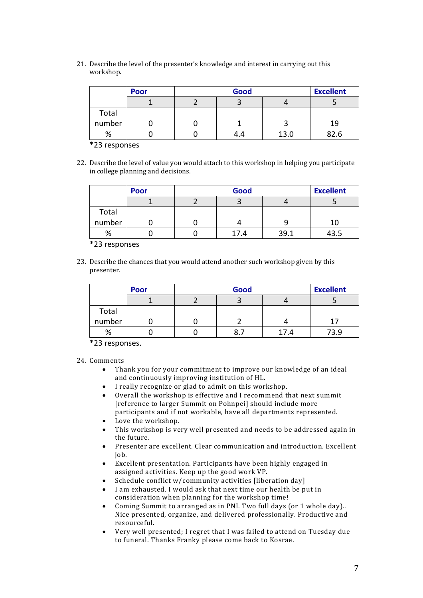|        | <b>Poor</b> | Good |      |      |  |
|--------|-------------|------|------|------|--|
|        |             |      |      |      |  |
| Total  |             |      |      |      |  |
| number |             |      |      | 19   |  |
| %      |             | 4.4  | 13.0 | 82.6 |  |

\*23 responses

22. Describe the level of value you would attach to this workshop in helping you participate in college planning and decisions.

|        | Poor | Good |      |      |  |
|--------|------|------|------|------|--|
|        |      |      |      |      |  |
| Total  |      |      |      |      |  |
| number |      |      |      | ıс   |  |
| %      |      | 17.4 | 39.1 | 43.5 |  |

\*23 responses

23. Describe the chances that you would attend another such workshop given by this presenter.

|                | <b>Poor</b> | Good |      |      |
|----------------|-------------|------|------|------|
|                |             |      |      |      |
| Total<br>그 사람이 |             |      |      |      |
| number         |             |      |      | 17   |
| %              |             |      | 17.4 | 73.9 |

\*23 responses.

- Thank you for your commitment to improve our knowledge of an ideal and continuously improving institution of HL.
- I really recognize or glad to admit on this workshop.
- Overall the workshop is effective and I recommend that next summit [reference to larger Summit on Pohnpei] should include more
- participants and if not workable, have all departments represented. Love the workshop.
- This workshop is very well presented and needs to be addressed again in the future.
- Presenter are excellent. Clear communication and introduction. Excellent job.
- Excellent presentation. Participants have been highly engaged in assigned activities. Keep up the good work VP.
- Schedule conflict w/community activities [liberation day]
- I am exhausted. I would ask that next time our health be put in consideration when planning for the workshop time!
- Coming Summit to arranged as in PNI. Two full days (or 1 whole day).. Nice presented, organize, and delivered professionally. Productive and resourceful.
- Very well presented; I regret that I was failed to attend on Tuesday due to funeral. Thanks Franky please come back to Kosrae.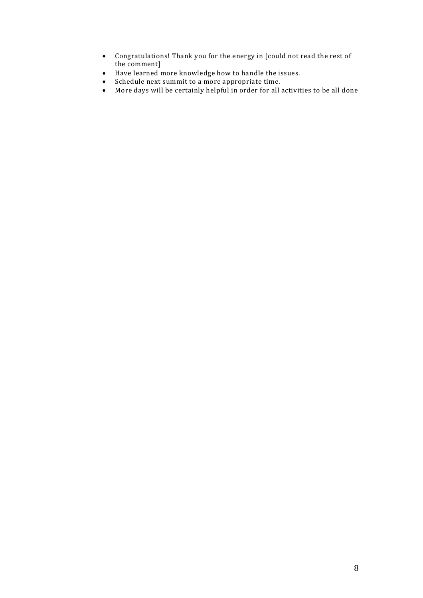- Congratulations! Thank you for the energy in [could not read the rest of the comment]
- Have learned more knowledge how to handle the issues.
- Schedule next summit to a more appropriate time.
- More days will be certainly helpful in order for all activities to be all done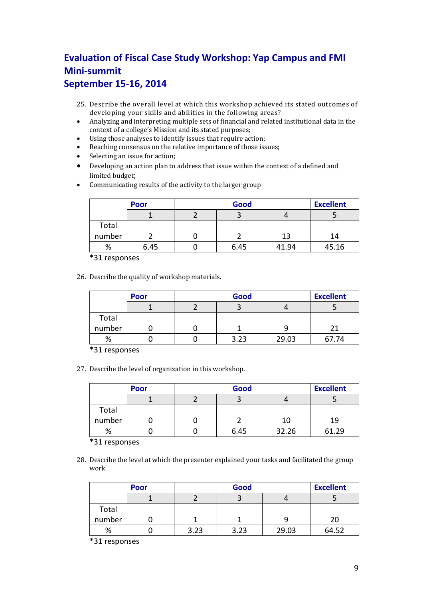### **Evaluation of Fiscal Case Study Workshop: Yap Campus and FMI Mini-summit September 15-16, 2014**

- 25. Describe the overall level at which this workshop achieved its stated outcomes of developing your skills and abilities in the following areas?
- Analyzing and interpreting multiple sets of financial and related institutional data in the context of a college's Mission and its stated purposes;
- Using those analyses to identify issues that require action;
- Reaching consensus on the relative importance of those issues;
- Selecting an issue for action;
- Developing an action plan to address that issue within the context of a defined and limited budget;
- Communicating results of the activity to the larger group

|        | <b>Poor</b> | Good |       |       |
|--------|-------------|------|-------|-------|
|        |             |      |       |       |
| Total  |             |      |       |       |
| number |             |      | 13    | 14    |
| %      | 6.45        | 6.45 | 41.94 | 45.16 |

\*31 responses

26. Describe the quality of workshop materials.

|        | Good<br><b>Poor</b> |  |      |       | <b>Excellent</b> |
|--------|---------------------|--|------|-------|------------------|
|        |                     |  |      |       |                  |
| Total  |                     |  |      |       |                  |
| number |                     |  |      |       |                  |
| %      |                     |  | 3.23 | 29.03 | 67.74            |

\*31 responses

27. Describe the level of organization in this workshop.

|        | Poor | Good |       |       |
|--------|------|------|-------|-------|
|        |      |      |       |       |
| Total  |      |      |       |       |
| number |      |      | 10    | 19    |
| %      |      | 6.45 | 32.26 | 61.29 |

\*31 responses

28. Describe the level at which the presenter explained your tasks and facilitated the group work.

|        | <b>Poor</b> | Good |      |       | <b>Excellent</b> |
|--------|-------------|------|------|-------|------------------|
|        |             |      |      |       |                  |
| Total  |             |      |      |       |                  |
| number |             |      |      |       | 20               |
| %      |             | 3.23 | 3.23 | 29.03 | 64.52            |

\*31 responses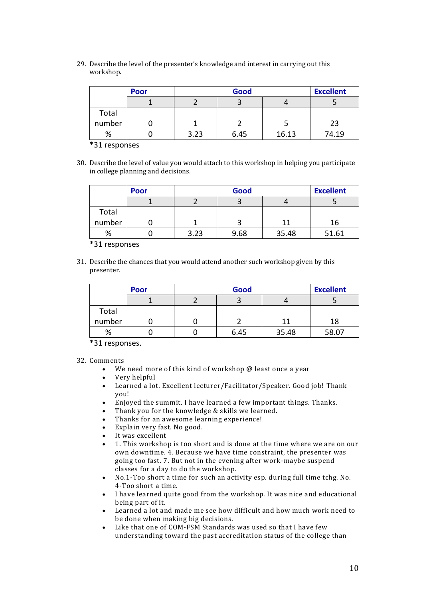|        | <b>Poor</b> | Good |      |       | <b>Excellent</b> |
|--------|-------------|------|------|-------|------------------|
|        |             |      |      |       |                  |
| Total  |             |      |      |       |                  |
| number |             |      |      |       | 23               |
| %      |             | 3.23 | 6.45 | 16.13 | 74.19            |

\*31 responses

30. Describe the level of value you would attach to this workshop in helping you participate in college planning and decisions.

|        | <b>Poor</b> | Good |      |       | <b>Excellent</b> |
|--------|-------------|------|------|-------|------------------|
|        |             |      |      |       |                  |
| Total  |             |      |      |       |                  |
| number |             |      |      | 11    | 16               |
| %      |             | 3.23 | 9.68 | 35.48 | 51.61            |

\*31 responses

31. Describe the chances that you would attend another such workshop given by this presenter.

|        | <b>Poor</b> | Good |      |       | <b>Excellent</b> |
|--------|-------------|------|------|-------|------------------|
|        |             |      |      |       |                  |
| Total  |             |      |      |       |                  |
| number |             |      |      | 11    | 18               |
| %      |             |      | 6.45 | 35.48 | 58.07            |

\*31 responses.

- We need more of this kind of workshop @ least once a year
- Very helpful
- Learned a lot. Excellent lecturer/Facilitator/Speaker. Good job! Thank you!
- Enjoyed the summit. I have learned a few important things. Thanks.
- Thank you for the knowledge & skills we learned.
- Thanks for an awesome learning experience!
- Explain very fast. No good.
- It was excellent
- 1. This workshop is too short and is done at the time where we are on our own downtime. 4. Because we have time constraint, the presenter was going too fast. 7. But not in the evening after work-maybe suspend classes for a day to do the workshop.
- No.1-Too short a time for such an activity esp. during full time tchg. No. 4-Too short a time.
- I have learned quite good from the workshop. It was nice and educational being part of it.
- Learned a lot and made me see how difficult and how much work need to be done when making big decisions.
- Like that one of COM-FSM Standards was used so that I have few understanding toward the past accreditation status of the college than